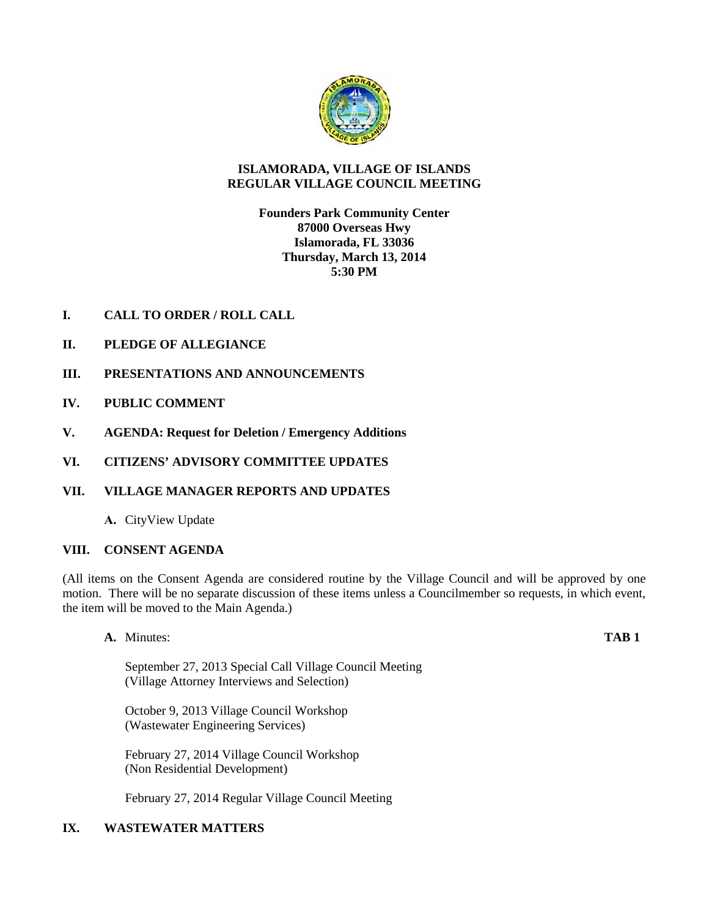

# **ISLAMORADA, VILLAGE OF ISLANDS REGULAR VILLAGE COUNCIL MEETING**

**Founders Park Community Center 87000 Overseas Hwy Islamorada, FL 33036 Thursday, March 13, 2014 5:30 PM**

- **I. CALL TO ORDER / ROLL CALL**
- **II. PLEDGE OF ALLEGIANCE**
- **III. PRESENTATIONS AND ANNOUNCEMENTS**
- **IV. PUBLIC COMMENT**
- **V. AGENDA: Request for Deletion / Emergency Additions**
- **VI. CITIZENS' ADVISORY COMMITTEE UPDATES**
- **VII. VILLAGE MANAGER REPORTS AND UPDATES**
	- **A.** CityView Update

# **VIII. CONSENT AGENDA**

(All items on the Consent Agenda are considered routine by the Village Council and will be approved by one motion. There will be no separate discussion of these items unless a Councilmember so requests, in which event, the item will be moved to the Main Agenda.)

**A.** Minutes: **TAB 1**

September 27, 2013 Special Call Village Council Meeting (Village Attorney Interviews and Selection)

October 9, 2013 Village Council Workshop (Wastewater Engineering Services)

February 27, 2014 Village Council Workshop (Non Residential Development)

February 27, 2014 Regular Village Council Meeting

# **IX. WASTEWATER MATTERS**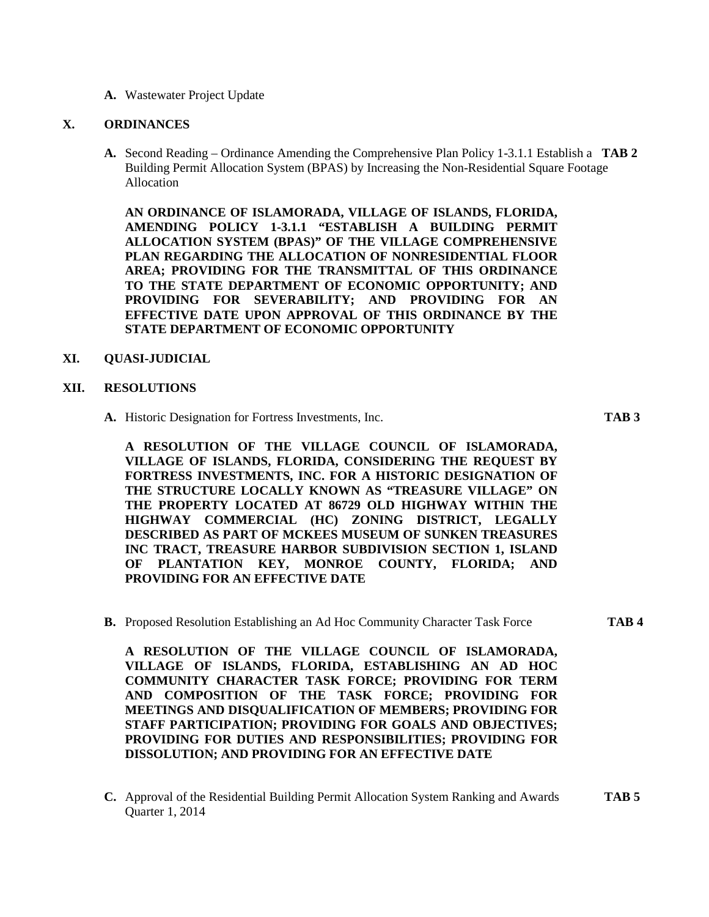**A.** Wastewater Project Update

#### **X. ORDINANCES**

**A.** Second Reading – Ordinance Amending the Comprehensive Plan Policy 1-3.1.1 Establish a **TAB 2** Building Permit Allocation System (BPAS) by Increasing the Non-Residential Square Footage Allocation

**AN ORDINANCE OF ISLAMORADA, VILLAGE OF ISLANDS, FLORIDA, AMENDING POLICY 1-3.1.1 "ESTABLISH A BUILDING PERMIT ALLOCATION SYSTEM (BPAS)" OF THE VILLAGE COMPREHENSIVE PLAN REGARDING THE ALLOCATION OF NONRESIDENTIAL FLOOR AREA; PROVIDING FOR THE TRANSMITTAL OF THIS ORDINANCE TO THE STATE DEPARTMENT OF ECONOMIC OPPORTUNITY; AND PROVIDING FOR SEVERABILITY; AND PROVIDING FOR AN EFFECTIVE DATE UPON APPROVAL OF THIS ORDINANCE BY THE STATE DEPARTMENT OF ECONOMIC OPPORTUNITY**

#### **XI. QUASI-JUDICIAL**

#### **XII. RESOLUTIONS**

**A.** Historic Designation for Fortress Investments, Inc. **TAB 3**

**A RESOLUTION OF THE VILLAGE COUNCIL OF ISLAMORADA, VILLAGE OF ISLANDS, FLORIDA, CONSIDERING THE REQUEST BY FORTRESS INVESTMENTS, INC. FOR A HISTORIC DESIGNATION OF THE STRUCTURE LOCALLY KNOWN AS "TREASURE VILLAGE" ON THE PROPERTY LOCATED AT 86729 OLD HIGHWAY WITHIN THE HIGHWAY COMMERCIAL (HC) ZONING DISTRICT, LEGALLY DESCRIBED AS PART OF MCKEES MUSEUM OF SUNKEN TREASURES INC TRACT, TREASURE HARBOR SUBDIVISION SECTION 1, ISLAND OF PLANTATION KEY, MONROE COUNTY, FLORIDA; AND PROVIDING FOR AN EFFECTIVE DATE**

**B.** Proposed Resolution Establishing an Ad Hoc Community Character Task Force **TAB 4**

**A RESOLUTION OF THE VILLAGE COUNCIL OF ISLAMORADA, VILLAGE OF ISLANDS, FLORIDA, ESTABLISHING AN AD HOC COMMUNITY CHARACTER TASK FORCE; PROVIDING FOR TERM AND COMPOSITION OF THE TASK FORCE; PROVIDING FOR MEETINGS AND DISQUALIFICATION OF MEMBERS; PROVIDING FOR STAFF PARTICIPATION; PROVIDING FOR GOALS AND OBJECTIVES; PROVIDING FOR DUTIES AND RESPONSIBILITIES; PROVIDING FOR DISSOLUTION; AND PROVIDING FOR AN EFFECTIVE DATE**

**C.** Approval of the Residential Building Permit Allocation System Ranking and Awards **TAB 5** Quarter 1, 2014